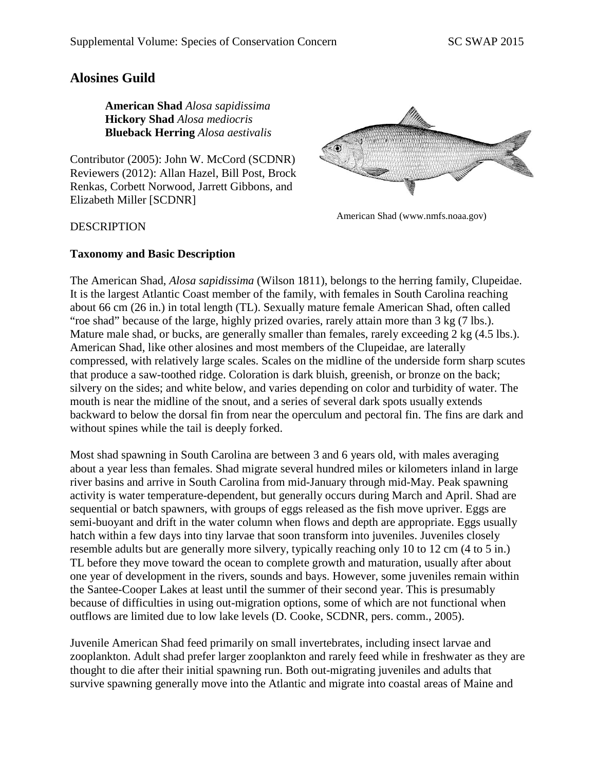# **Alosines Guild**

**American Shad** *Alosa sapidissima* **Hickory Shad** *Alosa mediocris* **Blueback Herring** *Alosa aestivalis*

Contributor (2005): John W. McCord (SCDNR) Reviewers (2012): Allan Hazel, Bill Post, Brock Renkas, Corbett Norwood, Jarrett Gibbons, and Elizabeth Miller [SCDNR]



American Shad (www.nmfs.noaa.gov)

#### **DESCRIPTION**

#### **Taxonomy and Basic Description**

The American Shad, *Alosa sapidissima* (Wilson 1811), belongs to the herring family, Clupeidae. It is the largest Atlantic Coast member of the family, with females in South Carolina reaching about 66 cm (26 in.) in total length (TL). Sexually mature female American Shad, often called "roe shad" because of the large, highly prized ovaries, rarely attain more than 3 kg (7 lbs.). Mature male shad, or bucks, are generally smaller than females, rarely exceeding 2 kg (4.5 lbs.). American Shad, like other alosines and most members of the Clupeidae, are laterally compressed, with relatively large scales. Scales on the midline of the underside form sharp scutes that produce a saw-toothed ridge. Coloration is dark bluish, greenish, or bronze on the back; silvery on the sides; and white below, and varies depending on color and turbidity of water. The mouth is near the midline of the snout, and a series of several dark spots usually extends backward to below the dorsal fin from near the operculum and pectoral fin. The fins are dark and without spines while the tail is deeply forked.

Most shad spawning in South Carolina are between 3 and 6 years old, with males averaging about a year less than females. Shad migrate several hundred miles or kilometers inland in large river basins and arrive in South Carolina from mid-January through mid-May. Peak spawning activity is water temperature-dependent, but generally occurs during March and April. Shad are sequential or batch spawners, with groups of eggs released as the fish move upriver. Eggs are semi-buoyant and drift in the water column when flows and depth are appropriate. Eggs usually hatch within a few days into tiny larvae that soon transform into juveniles. Juveniles closely resemble adults but are generally more silvery, typically reaching only 10 to 12 cm (4 to 5 in.) TL before they move toward the ocean to complete growth and maturation, usually after about one year of development in the rivers, sounds and bays. However, some juveniles remain within the Santee-Cooper Lakes at least until the summer of their second year. This is presumably because of difficulties in using out-migration options, some of which are not functional when outflows are limited due to low lake levels (D. Cooke, SCDNR, pers. comm., 2005).

Juvenile American Shad feed primarily on small invertebrates, including insect larvae and zooplankton. Adult shad prefer larger zooplankton and rarely feed while in freshwater as they are thought to die after their initial spawning run. Both out-migrating juveniles and adults that survive spawning generally move into the Atlantic and migrate into coastal areas of Maine and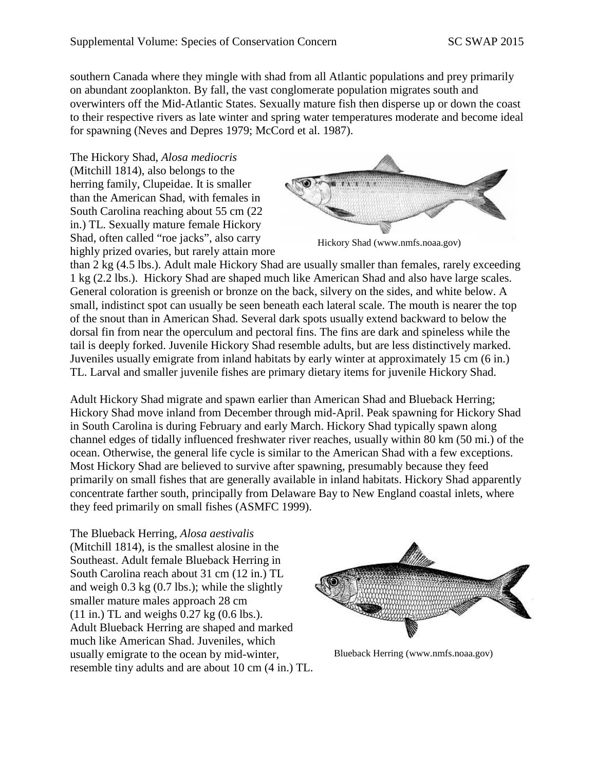southern Canada where they mingle with shad from all Atlantic populations and prey primarily on abundant zooplankton. By fall, the vast conglomerate population migrates south and overwinters off the Mid-Atlantic States. Sexually mature fish then disperse up or down the coast to their respective rivers as late winter and spring water temperatures moderate and become ideal for spawning (Neves and Depres 1979; McCord et al. 1987).

The Hickory Shad, *Alosa mediocris* (Mitchill 1814), also belongs to the herring family, Clupeidae. It is smaller than the American Shad, with females in South Carolina reaching about 55 cm (22 in.) TL. Sexually mature female Hickory Shad, often called "roe jacks", also carry highly prized ovaries, but rarely attain more



Hickory Shad (www.nmfs.noaa.gov)

than 2 kg (4.5 lbs.). Adult male Hickory Shad are usually smaller than females, rarely exceeding 1 kg (2.2 lbs.). Hickory Shad are shaped much like American Shad and also have large scales. General coloration is greenish or bronze on the back, silvery on the sides, and white below. A small, indistinct spot can usually be seen beneath each lateral scale. The mouth is nearer the top of the snout than in American Shad. Several dark spots usually extend backward to below the dorsal fin from near the operculum and pectoral fins. The fins are dark and spineless while the tail is deeply forked. Juvenile Hickory Shad resemble adults, but are less distinctively marked. Juveniles usually emigrate from inland habitats by early winter at approximately 15 cm (6 in.) TL. Larval and smaller juvenile fishes are primary dietary items for juvenile Hickory Shad.

Adult Hickory Shad migrate and spawn earlier than American Shad and Blueback Herring; Hickory Shad move inland from December through mid-April. Peak spawning for Hickory Shad in South Carolina is during February and early March. Hickory Shad typically spawn along channel edges of tidally influenced freshwater river reaches, usually within 80 km (50 mi.) of the ocean. Otherwise, the general life cycle is similar to the American Shad with a few exceptions. Most Hickory Shad are believed to survive after spawning, presumably because they feed primarily on small fishes that are generally available in inland habitats. Hickory Shad apparently concentrate farther south, principally from Delaware Bay to New England coastal inlets, where they feed primarily on small fishes (ASMFC 1999).

The Blueback Herring, *Alosa aestivalis* (Mitchill 1814), is the smallest alosine in the Southeast. Adult female Blueback Herring in South Carolina reach about 31 cm (12 in.) TL and weigh 0.3 kg (0.7 lbs.); while the slightly smaller mature males approach 28 cm (11 in.) TL and weighs 0.27 kg (0.6 lbs.). Adult Blueback Herring are shaped and marked much like American Shad. Juveniles, which usually emigrate to the ocean by mid-winter, resemble tiny adults and are about 10 cm (4 in.) TL.



Blueback Herring (www.nmfs.noaa.gov)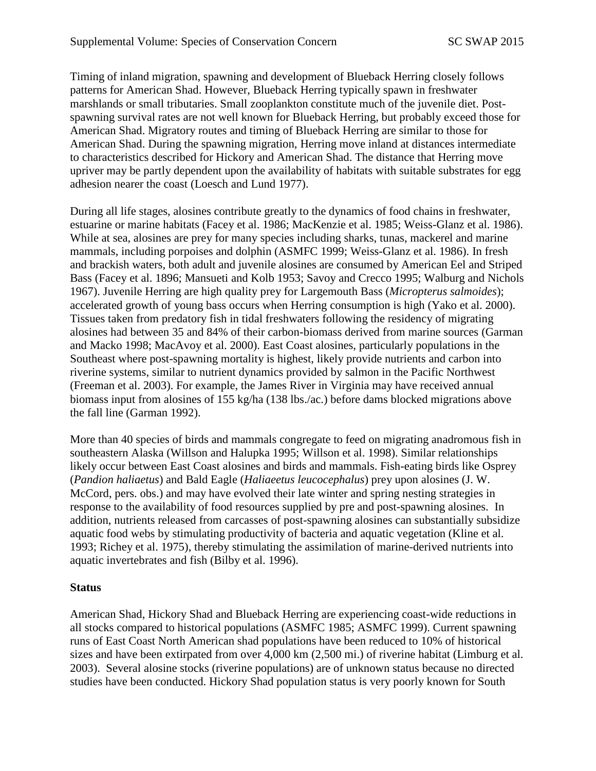Timing of inland migration, spawning and development of Blueback Herring closely follows patterns for American Shad. However, Blueback Herring typically spawn in freshwater marshlands or small tributaries. Small zooplankton constitute much of the juvenile diet. Postspawning survival rates are not well known for Blueback Herring, but probably exceed those for American Shad. Migratory routes and timing of Blueback Herring are similar to those for American Shad. During the spawning migration, Herring move inland at distances intermediate to characteristics described for Hickory and American Shad. The distance that Herring move upriver may be partly dependent upon the availability of habitats with suitable substrates for egg adhesion nearer the coast (Loesch and Lund 1977).

During all life stages, alosines contribute greatly to the dynamics of food chains in freshwater, estuarine or marine habitats (Facey et al. 1986; MacKenzie et al. 1985; Weiss-Glanz et al. 1986). While at sea, alosines are prey for many species including sharks, tunas, mackerel and marine mammals, including porpoises and dolphin (ASMFC 1999; Weiss-Glanz et al. 1986). In fresh and brackish waters, both adult and juvenile alosines are consumed by American Eel and Striped Bass (Facey et al. 1896; Mansueti and Kolb 1953; Savoy and Crecco 1995; Walburg and Nichols 1967). Juvenile Herring are high quality prey for Largemouth Bass (*Micropterus salmoides*); accelerated growth of young bass occurs when Herring consumption is high (Yako et al. 2000). Tissues taken from predatory fish in tidal freshwaters following the residency of migrating alosines had between 35 and 84% of their carbon-biomass derived from marine sources (Garman and Macko 1998; MacAvoy et al. 2000). East Coast alosines, particularly populations in the Southeast where post-spawning mortality is highest, likely provide nutrients and carbon into riverine systems, similar to nutrient dynamics provided by salmon in the Pacific Northwest (Freeman et al. 2003). For example, the James River in Virginia may have received annual biomass input from alosines of 155 kg/ha (138 lbs./ac.) before dams blocked migrations above the fall line (Garman 1992).

More than 40 species of birds and mammals congregate to feed on migrating anadromous fish in southeastern Alaska (Willson and Halupka 1995; Willson et al. 1998). Similar relationships likely occur between East Coast alosines and birds and mammals. Fish-eating birds like Osprey (*Pandion haliaetus*) and Bald Eagle (*Haliaeetus leucocephalus*) prey upon alosines (J. W. McCord, pers. obs.) and may have evolved their late winter and spring nesting strategies in response to the availability of food resources supplied by pre and post-spawning alosines. In addition, nutrients released from carcasses of post-spawning alosines can substantially subsidize aquatic food webs by stimulating productivity of bacteria and aquatic vegetation (Kline et al. 1993; Richey et al. 1975), thereby stimulating the assimilation of marine-derived nutrients into aquatic invertebrates and fish (Bilby et al. 1996).

## **Status**

American Shad, Hickory Shad and Blueback Herring are experiencing coast-wide reductions in all stocks compared to historical populations (ASMFC 1985; ASMFC 1999). Current spawning runs of East Coast North American shad populations have been reduced to 10% of historical sizes and have been extirpated from over 4,000 km (2,500 mi.) of riverine habitat (Limburg et al. 2003). Several alosine stocks (riverine populations) are of unknown status because no directed studies have been conducted. Hickory Shad population status is very poorly known for South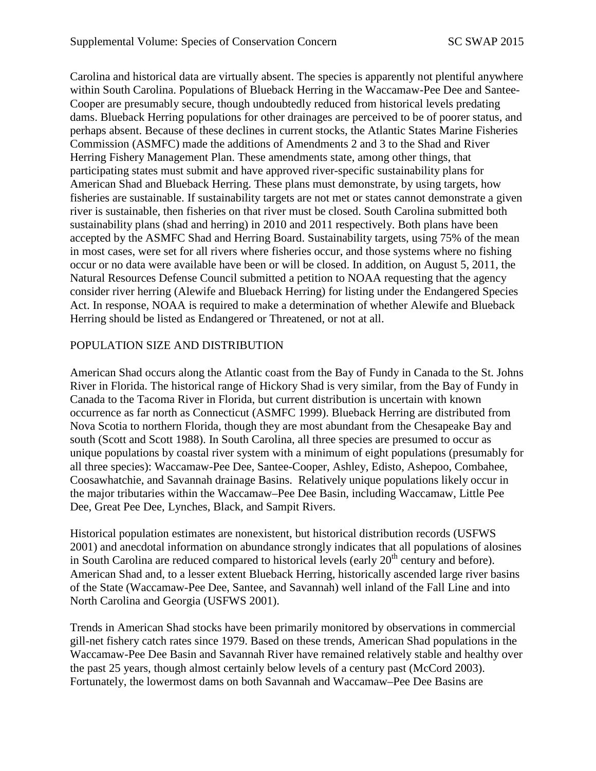Carolina and historical data are virtually absent. The species is apparently not plentiful anywhere within South Carolina. Populations of Blueback Herring in the Waccamaw-Pee Dee and Santee-Cooper are presumably secure, though undoubtedly reduced from historical levels predating dams. Blueback Herring populations for other drainages are perceived to be of poorer status, and perhaps absent. Because of these declines in current stocks, the Atlantic States Marine Fisheries Commission (ASMFC) made the additions of Amendments 2 and 3 to the Shad and River Herring Fishery Management Plan. These amendments state, among other things, that participating states must submit and have approved river-specific sustainability plans for American Shad and Blueback Herring. These plans must demonstrate, by using targets, how fisheries are sustainable. If sustainability targets are not met or states cannot demonstrate a given river is sustainable, then fisheries on that river must be closed. South Carolina submitted both sustainability plans (shad and herring) in 2010 and 2011 respectively. Both plans have been accepted by the ASMFC Shad and Herring Board. Sustainability targets, using 75% of the mean in most cases, were set for all rivers where fisheries occur, and those systems where no fishing occur or no data were available have been or will be closed. In addition, on August 5, 2011, the Natural Resources Defense Council submitted a petition to NOAA requesting that the agency consider river herring (Alewife and Blueback Herring) for listing under the Endangered Species Act. In response, NOAA is required to make a determination of whether Alewife and Blueback Herring should be listed as Endangered or Threatened, or not at all.

## POPULATION SIZE AND DISTRIBUTION

American Shad occurs along the Atlantic coast from the Bay of Fundy in Canada to the St. Johns River in Florida. The historical range of Hickory Shad is very similar, from the Bay of Fundy in Canada to the Tacoma River in Florida, but current distribution is uncertain with known occurrence as far north as Connecticut (ASMFC 1999). Blueback Herring are distributed from Nova Scotia to northern Florida, though they are most abundant from the Chesapeake Bay and south (Scott and Scott 1988). In South Carolina, all three species are presumed to occur as unique populations by coastal river system with a minimum of eight populations (presumably for all three species): Waccamaw-Pee Dee, Santee-Cooper, Ashley, Edisto, Ashepoo, Combahee, Coosawhatchie, and Savannah drainage Basins. Relatively unique populations likely occur in the major tributaries within the Waccamaw–Pee Dee Basin, including Waccamaw, Little Pee Dee, Great Pee Dee, Lynches, Black, and Sampit Rivers.

Historical population estimates are nonexistent, but historical distribution records (USFWS 2001) and anecdotal information on abundance strongly indicates that all populations of alosines in South Carolina are reduced compared to historical levels (early  $20<sup>th</sup>$  century and before). American Shad and, to a lesser extent Blueback Herring, historically ascended large river basins of the State (Waccamaw-Pee Dee, Santee, and Savannah) well inland of the Fall Line and into North Carolina and Georgia (USFWS 2001).

Trends in American Shad stocks have been primarily monitored by observations in commercial gill-net fishery catch rates since 1979. Based on these trends, American Shad populations in the Waccamaw-Pee Dee Basin and Savannah River have remained relatively stable and healthy over the past 25 years, though almost certainly below levels of a century past (McCord 2003). Fortunately, the lowermost dams on both Savannah and Waccamaw–Pee Dee Basins are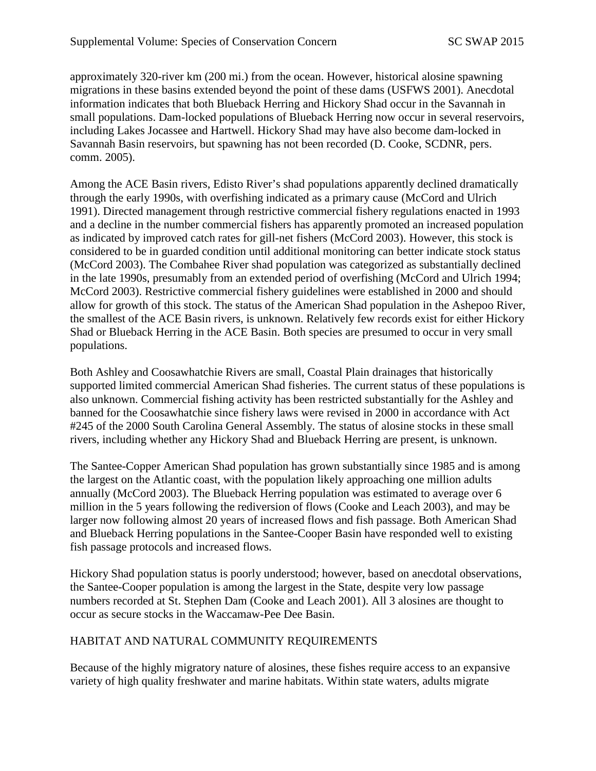approximately 320-river km (200 mi.) from the ocean. However, historical alosine spawning migrations in these basins extended beyond the point of these dams (USFWS 2001). Anecdotal information indicates that both Blueback Herring and Hickory Shad occur in the Savannah in small populations. Dam-locked populations of Blueback Herring now occur in several reservoirs, including Lakes Jocassee and Hartwell. Hickory Shad may have also become dam-locked in Savannah Basin reservoirs, but spawning has not been recorded (D. Cooke, SCDNR, pers. comm. 2005).

Among the ACE Basin rivers, Edisto River's shad populations apparently declined dramatically through the early 1990s, with overfishing indicated as a primary cause (McCord and Ulrich 1991). Directed management through restrictive commercial fishery regulations enacted in 1993 and a decline in the number commercial fishers has apparently promoted an increased population as indicated by improved catch rates for gill-net fishers (McCord 2003). However, this stock is considered to be in guarded condition until additional monitoring can better indicate stock status (McCord 2003). The Combahee River shad population was categorized as substantially declined in the late 1990s, presumably from an extended period of overfishing (McCord and Ulrich 1994; McCord 2003). Restrictive commercial fishery guidelines were established in 2000 and should allow for growth of this stock. The status of the American Shad population in the Ashepoo River, the smallest of the ACE Basin rivers, is unknown. Relatively few records exist for either Hickory Shad or Blueback Herring in the ACE Basin. Both species are presumed to occur in very small populations.

Both Ashley and Coosawhatchie Rivers are small, Coastal Plain drainages that historically supported limited commercial American Shad fisheries. The current status of these populations is also unknown. Commercial fishing activity has been restricted substantially for the Ashley and banned for the Coosawhatchie since fishery laws were revised in 2000 in accordance with Act #245 of the 2000 South Carolina General Assembly. The status of alosine stocks in these small rivers, including whether any Hickory Shad and Blueback Herring are present, is unknown.

The Santee-Copper American Shad population has grown substantially since 1985 and is among the largest on the Atlantic coast, with the population likely approaching one million adults annually (McCord 2003). The Blueback Herring population was estimated to average over 6 million in the 5 years following the rediversion of flows (Cooke and Leach 2003), and may be larger now following almost 20 years of increased flows and fish passage. Both American Shad and Blueback Herring populations in the Santee-Cooper Basin have responded well to existing fish passage protocols and increased flows.

Hickory Shad population status is poorly understood; however, based on anecdotal observations, the Santee-Cooper population is among the largest in the State, despite very low passage numbers recorded at St. Stephen Dam (Cooke and Leach 2001). All 3 alosines are thought to occur as secure stocks in the Waccamaw-Pee Dee Basin.

## HABITAT AND NATURAL COMMUNITY REQUIREMENTS

Because of the highly migratory nature of alosines, these fishes require access to an expansive variety of high quality freshwater and marine habitats. Within state waters, adults migrate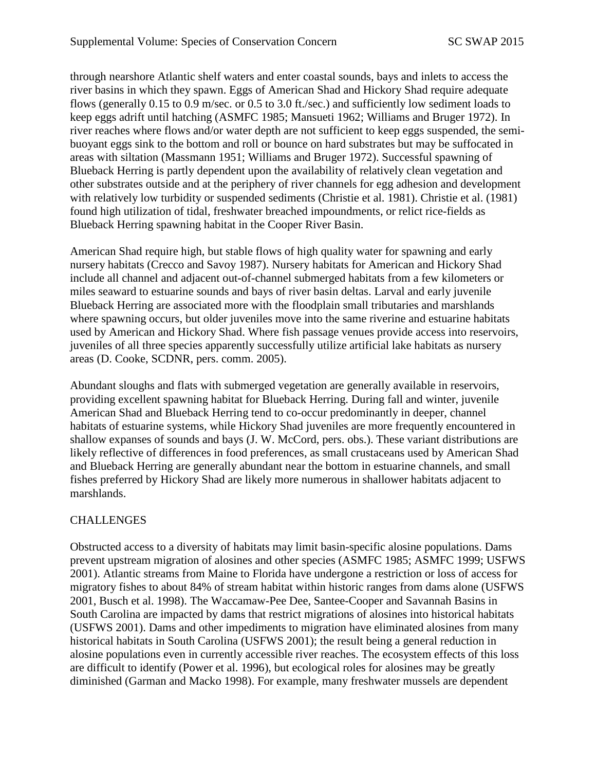through nearshore Atlantic shelf waters and enter coastal sounds, bays and inlets to access the river basins in which they spawn. Eggs of American Shad and Hickory Shad require adequate flows (generally 0.15 to 0.9 m/sec. or 0.5 to 3.0 ft./sec.) and sufficiently low sediment loads to keep eggs adrift until hatching (ASMFC 1985; Mansueti 1962; Williams and Bruger 1972). In river reaches where flows and/or water depth are not sufficient to keep eggs suspended, the semibuoyant eggs sink to the bottom and roll or bounce on hard substrates but may be suffocated in areas with siltation (Massmann 1951; Williams and Bruger 1972). Successful spawning of Blueback Herring is partly dependent upon the availability of relatively clean vegetation and other substrates outside and at the periphery of river channels for egg adhesion and development with relatively low turbidity or suspended sediments (Christie et al. 1981). Christie et al. (1981) found high utilization of tidal, freshwater breached impoundments, or relict rice-fields as Blueback Herring spawning habitat in the Cooper River Basin.

American Shad require high, but stable flows of high quality water for spawning and early nursery habitats (Crecco and Savoy 1987). Nursery habitats for American and Hickory Shad include all channel and adjacent out-of-channel submerged habitats from a few kilometers or miles seaward to estuarine sounds and bays of river basin deltas. Larval and early juvenile Blueback Herring are associated more with the floodplain small tributaries and marshlands where spawning occurs, but older juveniles move into the same riverine and estuarine habitats used by American and Hickory Shad. Where fish passage venues provide access into reservoirs, juveniles of all three species apparently successfully utilize artificial lake habitats as nursery areas (D. Cooke, SCDNR, pers. comm. 2005).

Abundant sloughs and flats with submerged vegetation are generally available in reservoirs, providing excellent spawning habitat for Blueback Herring. During fall and winter, juvenile American Shad and Blueback Herring tend to co-occur predominantly in deeper, channel habitats of estuarine systems, while Hickory Shad juveniles are more frequently encountered in shallow expanses of sounds and bays (J. W. McCord, pers. obs.). These variant distributions are likely reflective of differences in food preferences, as small crustaceans used by American Shad and Blueback Herring are generally abundant near the bottom in estuarine channels, and small fishes preferred by Hickory Shad are likely more numerous in shallower habitats adjacent to marshlands.

## **CHALLENGES**

Obstructed access to a diversity of habitats may limit basin-specific alosine populations. Dams prevent upstream migration of alosines and other species (ASMFC 1985; ASMFC 1999; USFWS 2001). Atlantic streams from Maine to Florida have undergone a restriction or loss of access for migratory fishes to about 84% of stream habitat within historic ranges from dams alone (USFWS 2001, Busch et al. 1998). The Waccamaw-Pee Dee, Santee-Cooper and Savannah Basins in South Carolina are impacted by dams that restrict migrations of alosines into historical habitats (USFWS 2001). Dams and other impediments to migration have eliminated alosines from many historical habitats in South Carolina (USFWS 2001); the result being a general reduction in alosine populations even in currently accessible river reaches. The ecosystem effects of this loss are difficult to identify (Power et al. 1996), but ecological roles for alosines may be greatly diminished (Garman and Macko 1998). For example, many freshwater mussels are dependent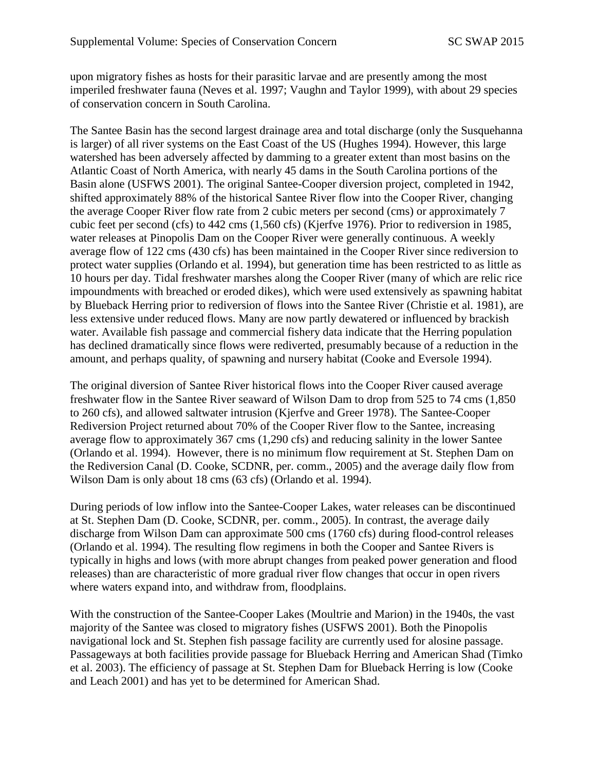upon migratory fishes as hosts for their parasitic larvae and are presently among the most imperiled freshwater fauna (Neves et al. 1997; Vaughn and Taylor 1999), with about 29 species of conservation concern in South Carolina.

The Santee Basin has the second largest drainage area and total discharge (only the Susquehanna is larger) of all river systems on the East Coast of the US (Hughes 1994). However, this large watershed has been adversely affected by damming to a greater extent than most basins on the Atlantic Coast of North America, with nearly 45 dams in the South Carolina portions of the Basin alone (USFWS 2001). The original Santee-Cooper diversion project, completed in 1942, shifted approximately 88% of the historical Santee River flow into the Cooper River, changing the average Cooper River flow rate from 2 cubic meters per second (cms) or approximately 7 cubic feet per second (cfs) to 442 cms (1,560 cfs) (Kjerfve 1976). Prior to rediversion in 1985, water releases at Pinopolis Dam on the Cooper River were generally continuous. A weekly average flow of 122 cms (430 cfs) has been maintained in the Cooper River since rediversion to protect water supplies (Orlando et al. 1994), but generation time has been restricted to as little as 10 hours per day. Tidal freshwater marshes along the Cooper River (many of which are relic rice impoundments with breached or eroded dikes), which were used extensively as spawning habitat by Blueback Herring prior to rediversion of flows into the Santee River (Christie et al. 1981), are less extensive under reduced flows. Many are now partly dewatered or influenced by brackish water. Available fish passage and commercial fishery data indicate that the Herring population has declined dramatically since flows were rediverted, presumably because of a reduction in the amount, and perhaps quality, of spawning and nursery habitat (Cooke and Eversole 1994).

The original diversion of Santee River historical flows into the Cooper River caused average freshwater flow in the Santee River seaward of Wilson Dam to drop from 525 to 74 cms (1,850 to 260 cfs), and allowed saltwater intrusion (Kjerfve and Greer 1978). The Santee-Cooper Rediversion Project returned about 70% of the Cooper River flow to the Santee, increasing average flow to approximately 367 cms (1,290 cfs) and reducing salinity in the lower Santee (Orlando et al. 1994). However, there is no minimum flow requirement at St. Stephen Dam on the Rediversion Canal (D. Cooke, SCDNR, per. comm., 2005) and the average daily flow from Wilson Dam is only about 18 cms (63 cfs) (Orlando et al. 1994).

During periods of low inflow into the Santee-Cooper Lakes, water releases can be discontinued at St. Stephen Dam (D. Cooke, SCDNR, per. comm., 2005). In contrast, the average daily discharge from Wilson Dam can approximate 500 cms (1760 cfs) during flood-control releases (Orlando et al. 1994). The resulting flow regimens in both the Cooper and Santee Rivers is typically in highs and lows (with more abrupt changes from peaked power generation and flood releases) than are characteristic of more gradual river flow changes that occur in open rivers where waters expand into, and withdraw from, floodplains.

With the construction of the Santee-Cooper Lakes (Moultrie and Marion) in the 1940s, the vast majority of the Santee was closed to migratory fishes (USFWS 2001). Both the Pinopolis navigational lock and St. Stephen fish passage facility are currently used for alosine passage. Passageways at both facilities provide passage for Blueback Herring and American Shad (Timko et al. 2003). The efficiency of passage at St. Stephen Dam for Blueback Herring is low (Cooke and Leach 2001) and has yet to be determined for American Shad.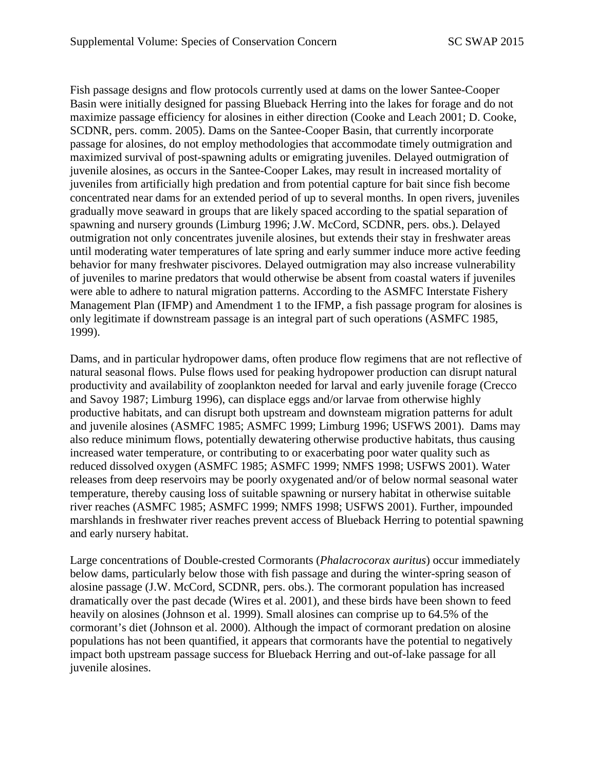Fish passage designs and flow protocols currently used at dams on the lower Santee-Cooper Basin were initially designed for passing Blueback Herring into the lakes for forage and do not maximize passage efficiency for alosines in either direction (Cooke and Leach 2001; D. Cooke, SCDNR, pers. comm. 2005). Dams on the Santee-Cooper Basin, that currently incorporate passage for alosines, do not employ methodologies that accommodate timely outmigration and maximized survival of post-spawning adults or emigrating juveniles. Delayed outmigration of juvenile alosines, as occurs in the Santee-Cooper Lakes, may result in increased mortality of juveniles from artificially high predation and from potential capture for bait since fish become concentrated near dams for an extended period of up to several months. In open rivers, juveniles gradually move seaward in groups that are likely spaced according to the spatial separation of spawning and nursery grounds (Limburg 1996; J.W. McCord, SCDNR, pers. obs.). Delayed outmigration not only concentrates juvenile alosines, but extends their stay in freshwater areas until moderating water temperatures of late spring and early summer induce more active feeding behavior for many freshwater piscivores. Delayed outmigration may also increase vulnerability of juveniles to marine predators that would otherwise be absent from coastal waters if juveniles were able to adhere to natural migration patterns. According to the ASMFC Interstate Fishery Management Plan (IFMP) and Amendment 1 to the IFMP, a fish passage program for alosines is only legitimate if downstream passage is an integral part of such operations (ASMFC 1985, 1999).

Dams, and in particular hydropower dams, often produce flow regimens that are not reflective of natural seasonal flows. Pulse flows used for peaking hydropower production can disrupt natural productivity and availability of zooplankton needed for larval and early juvenile forage (Crecco and Savoy 1987; Limburg 1996), can displace eggs and/or larvae from otherwise highly productive habitats, and can disrupt both upstream and downsteam migration patterns for adult and juvenile alosines (ASMFC 1985; ASMFC 1999; Limburg 1996; USFWS 2001). Dams may also reduce minimum flows, potentially dewatering otherwise productive habitats, thus causing increased water temperature, or contributing to or exacerbating poor water quality such as reduced dissolved oxygen (ASMFC 1985; ASMFC 1999; NMFS 1998; USFWS 2001). Water releases from deep reservoirs may be poorly oxygenated and/or of below normal seasonal water temperature, thereby causing loss of suitable spawning or nursery habitat in otherwise suitable river reaches (ASMFC 1985; ASMFC 1999; NMFS 1998; USFWS 2001). Further, impounded marshlands in freshwater river reaches prevent access of Blueback Herring to potential spawning and early nursery habitat.

Large concentrations of Double-crested Cormorants (*Phalacrocorax auritus*) occur immediately below dams, particularly below those with fish passage and during the winter-spring season of alosine passage (J.W. McCord, SCDNR, pers. obs.). The cormorant population has increased dramatically over the past decade (Wires et al. 2001), and these birds have been shown to feed heavily on alosines (Johnson et al. 1999). Small alosines can comprise up to 64.5% of the cormorant's diet (Johnson et al. 2000). Although the impact of cormorant predation on alosine populations has not been quantified, it appears that cormorants have the potential to negatively impact both upstream passage success for Blueback Herring and out-of-lake passage for all juvenile alosines.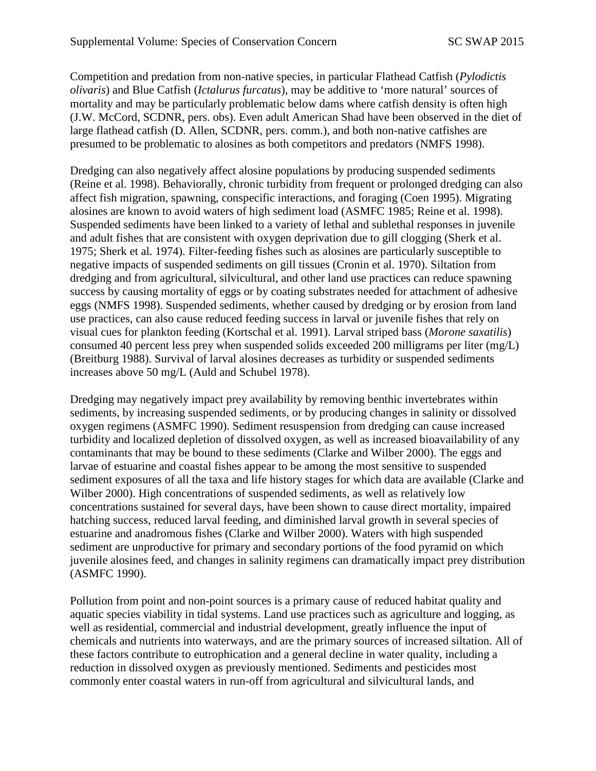Competition and predation from non-native species, in particular Flathead Catfish (*Pylodictis olivaris*) and Blue Catfish (*Ictalurus furcatus*), may be additive to 'more natural' sources of mortality and may be particularly problematic below dams where catfish density is often high (J.W. McCord, SCDNR, pers. obs). Even adult American Shad have been observed in the diet of large flathead catfish (D. Allen, SCDNR, pers. comm.), and both non-native catfishes are presumed to be problematic to alosines as both competitors and predators (NMFS 1998).

Dredging can also negatively affect alosine populations by producing suspended sediments (Reine et al. 1998). Behaviorally, chronic turbidity from frequent or prolonged dredging can also affect fish migration, spawning, conspecific interactions, and foraging (Coen 1995). Migrating alosines are known to avoid waters of high sediment load (ASMFC 1985; Reine et al. 1998). Suspended sediments have been linked to a variety of lethal and sublethal responses in juvenile and adult fishes that are consistent with oxygen deprivation due to gill clogging (Sherk et al. 1975; Sherk et al. 1974). Filter-feeding fishes such as alosines are particularly susceptible to negative impacts of suspended sediments on gill tissues (Cronin et al. 1970). Siltation from dredging and from agricultural, silvicultural, and other land use practices can reduce spawning success by causing mortality of eggs or by coating substrates needed for attachment of adhesive eggs (NMFS 1998). Suspended sediments, whether caused by dredging or by erosion from land use practices, can also cause reduced feeding success in larval or juvenile fishes that rely on visual cues for plankton feeding (Kortschal et al. 1991). Larval striped bass (*Morone saxatilis*) consumed 40 percent less prey when suspended solids exceeded 200 milligrams per liter (mg/L) (Breitburg 1988). Survival of larval alosines decreases as turbidity or suspended sediments increases above 50 mg/L (Auld and Schubel 1978).

Dredging may negatively impact prey availability by removing benthic invertebrates within sediments, by increasing suspended sediments, or by producing changes in salinity or dissolved oxygen regimens (ASMFC 1990). Sediment resuspension from dredging can cause increased turbidity and localized depletion of dissolved oxygen, as well as increased bioavailability of any contaminants that may be bound to these sediments (Clarke and Wilber 2000). The eggs and larvae of estuarine and coastal fishes appear to be among the most sensitive to suspended sediment exposures of all the taxa and life history stages for which data are available (Clarke and Wilber 2000). High concentrations of suspended sediments, as well as relatively low concentrations sustained for several days, have been shown to cause direct mortality, impaired hatching success, reduced larval feeding, and diminished larval growth in several species of estuarine and anadromous fishes (Clarke and Wilber 2000). Waters with high suspended sediment are unproductive for primary and secondary portions of the food pyramid on which juvenile alosines feed, and changes in salinity regimens can dramatically impact prey distribution (ASMFC 1990).

Pollution from point and non-point sources is a primary cause of reduced habitat quality and aquatic species viability in tidal systems. Land use practices such as agriculture and logging, as well as residential, commercial and industrial development, greatly influence the input of chemicals and nutrients into waterways, and are the primary sources of increased siltation. All of these factors contribute to eutrophication and a general decline in water quality, including a reduction in dissolved oxygen as previously mentioned. Sediments and pesticides most commonly enter coastal waters in run-off from agricultural and silvicultural lands, and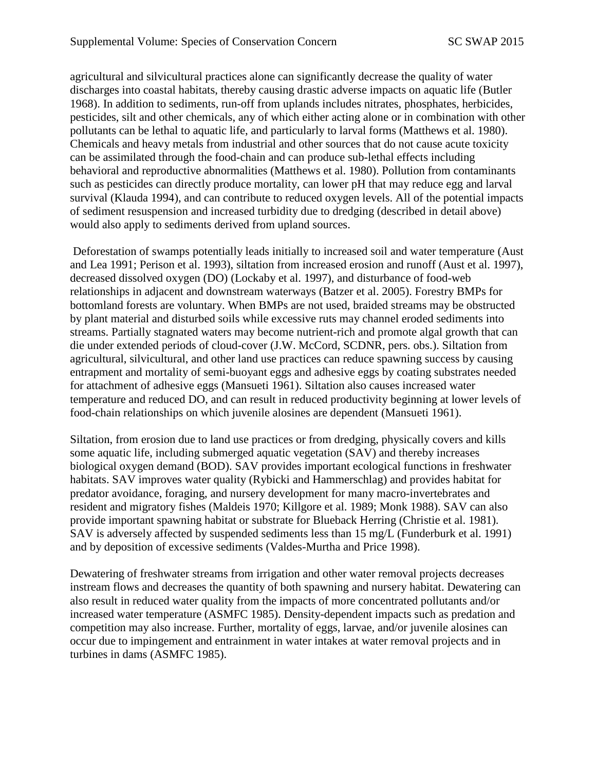agricultural and silvicultural practices alone can significantly decrease the quality of water discharges into coastal habitats, thereby causing drastic adverse impacts on aquatic life (Butler 1968). In addition to sediments, run-off from uplands includes nitrates, phosphates, herbicides, pesticides, silt and other chemicals, any of which either acting alone or in combination with other pollutants can be lethal to aquatic life, and particularly to larval forms (Matthews et al. 1980). Chemicals and heavy metals from industrial and other sources that do not cause acute toxicity can be assimilated through the food-chain and can produce sub-lethal effects including behavioral and reproductive abnormalities (Matthews et al. 1980). Pollution from contaminants such as pesticides can directly produce mortality, can lower pH that may reduce egg and larval survival (Klauda 1994), and can contribute to reduced oxygen levels. All of the potential impacts of sediment resuspension and increased turbidity due to dredging (described in detail above) would also apply to sediments derived from upland sources.

Deforestation of swamps potentially leads initially to increased soil and water temperature (Aust and Lea 1991; Perison et al. 1993), siltation from increased erosion and runoff (Aust et al. 1997), decreased dissolved oxygen (DO) (Lockaby et al. 1997), and disturbance of food-web relationships in adjacent and downstream waterways (Batzer et al. 2005). Forestry BMPs for bottomland forests are voluntary. When BMPs are not used, braided streams may be obstructed by plant material and disturbed soils while excessive ruts may channel eroded sediments into streams. Partially stagnated waters may become nutrient-rich and promote algal growth that can die under extended periods of cloud-cover (J.W. McCord, SCDNR, pers. obs.). Siltation from agricultural, silvicultural, and other land use practices can reduce spawning success by causing entrapment and mortality of semi-buoyant eggs and adhesive eggs by coating substrates needed for attachment of adhesive eggs (Mansueti 1961). Siltation also causes increased water temperature and reduced DO, and can result in reduced productivity beginning at lower levels of food-chain relationships on which juvenile alosines are dependent (Mansueti 1961).

Siltation, from erosion due to land use practices or from dredging, physically covers and kills some aquatic life, including submerged aquatic vegetation (SAV) and thereby increases biological oxygen demand (BOD). SAV provides important ecological functions in freshwater habitats. SAV improves water quality (Rybicki and Hammerschlag) and provides habitat for predator avoidance, foraging, and nursery development for many macro-invertebrates and resident and migratory fishes (Maldeis 1970; Killgore et al. 1989; Monk 1988). SAV can also provide important spawning habitat or substrate for Blueback Herring (Christie et al. 1981). SAV is adversely affected by suspended sediments less than 15 mg/L (Funderburk et al. 1991) and by deposition of excessive sediments (Valdes-Murtha and Price 1998).

Dewatering of freshwater streams from irrigation and other water removal projects decreases instream flows and decreases the quantity of both spawning and nursery habitat. Dewatering can also result in reduced water quality from the impacts of more concentrated pollutants and/or increased water temperature (ASMFC 1985). Density-dependent impacts such as predation and competition may also increase. Further, mortality of eggs, larvae, and/or juvenile alosines can occur due to impingement and entrainment in water intakes at water removal projects and in turbines in dams (ASMFC 1985).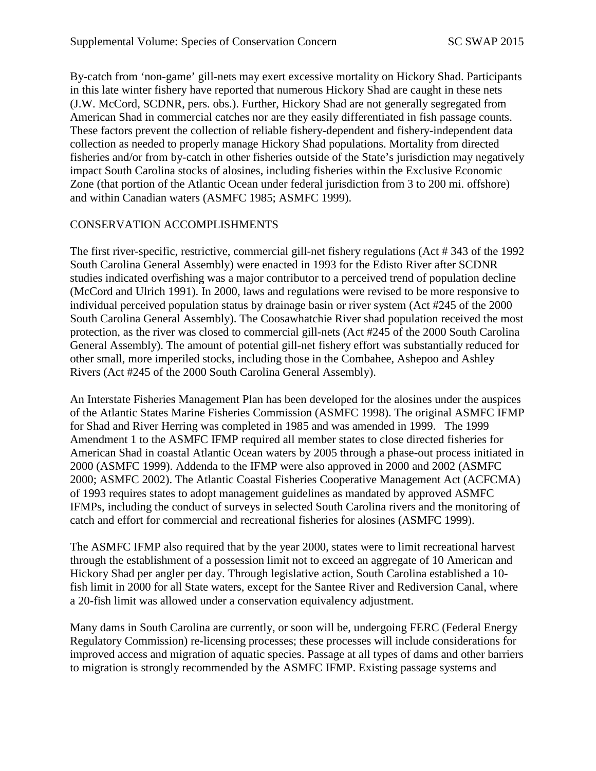By-catch from 'non-game' gill-nets may exert excessive mortality on Hickory Shad. Participants in this late winter fishery have reported that numerous Hickory Shad are caught in these nets (J.W. McCord, SCDNR, pers. obs.). Further, Hickory Shad are not generally segregated from American Shad in commercial catches nor are they easily differentiated in fish passage counts. These factors prevent the collection of reliable fishery-dependent and fishery-independent data collection as needed to properly manage Hickory Shad populations. Mortality from directed fisheries and/or from by-catch in other fisheries outside of the State's jurisdiction may negatively impact South Carolina stocks of alosines, including fisheries within the Exclusive Economic Zone (that portion of the Atlantic Ocean under federal jurisdiction from 3 to 200 mi. offshore) and within Canadian waters (ASMFC 1985; ASMFC 1999).

# CONSERVATION ACCOMPLISHMENTS

The first river-specific, restrictive, commercial gill-net fishery regulations (Act # 343 of the 1992 South Carolina General Assembly) were enacted in 1993 for the Edisto River after SCDNR studies indicated overfishing was a major contributor to a perceived trend of population decline (McCord and Ulrich 1991). In 2000, laws and regulations were revised to be more responsive to individual perceived population status by drainage basin or river system (Act #245 of the 2000 South Carolina General Assembly). The Coosawhatchie River shad population received the most protection, as the river was closed to commercial gill-nets (Act #245 of the 2000 South Carolina General Assembly). The amount of potential gill-net fishery effort was substantially reduced for other small, more imperiled stocks, including those in the Combahee, Ashepoo and Ashley Rivers (Act #245 of the 2000 South Carolina General Assembly).

An Interstate Fisheries Management Plan has been developed for the alosines under the auspices of the Atlantic States Marine Fisheries Commission (ASMFC 1998). The original ASMFC IFMP for Shad and River Herring was completed in 1985 and was amended in 1999. The 1999 Amendment 1 to the ASMFC IFMP required all member states to close directed fisheries for American Shad in coastal Atlantic Ocean waters by 2005 through a phase-out process initiated in 2000 (ASMFC 1999). Addenda to the IFMP were also approved in 2000 and 2002 (ASMFC 2000; ASMFC 2002). The Atlantic Coastal Fisheries Cooperative Management Act (ACFCMA) of 1993 requires states to adopt management guidelines as mandated by approved ASMFC IFMPs, including the conduct of surveys in selected South Carolina rivers and the monitoring of catch and effort for commercial and recreational fisheries for alosines (ASMFC 1999).

The ASMFC IFMP also required that by the year 2000, states were to limit recreational harvest through the establishment of a possession limit not to exceed an aggregate of 10 American and Hickory Shad per angler per day. Through legislative action, South Carolina established a 10 fish limit in 2000 for all State waters, except for the Santee River and Rediversion Canal, where a 20-fish limit was allowed under a conservation equivalency adjustment.

Many dams in South Carolina are currently, or soon will be, undergoing FERC (Federal Energy Regulatory Commission) re-licensing processes; these processes will include considerations for improved access and migration of aquatic species. Passage at all types of dams and other barriers to migration is strongly recommended by the ASMFC IFMP. Existing passage systems and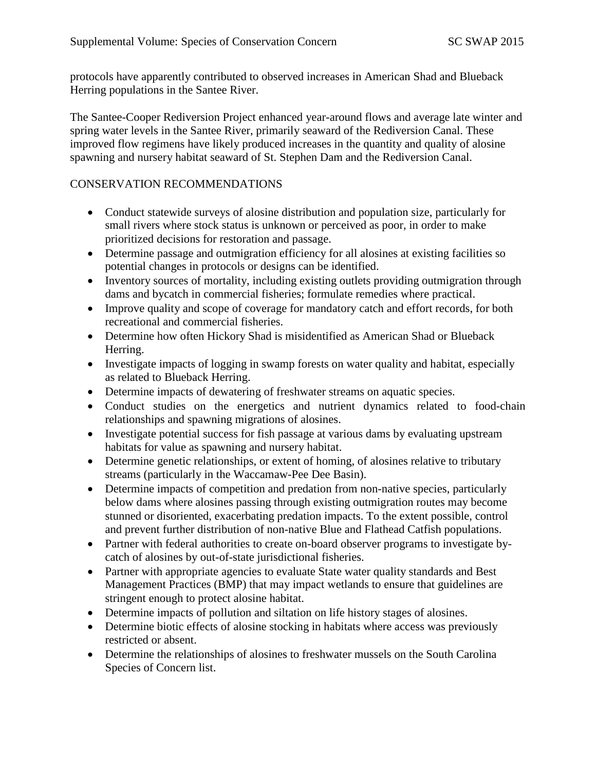protocols have apparently contributed to observed increases in American Shad and Blueback Herring populations in the Santee River.

The Santee-Cooper Rediversion Project enhanced year-around flows and average late winter and spring water levels in the Santee River, primarily seaward of the Rediversion Canal. These improved flow regimens have likely produced increases in the quantity and quality of alosine spawning and nursery habitat seaward of St. Stephen Dam and the Rediversion Canal.

#### CONSERVATION RECOMMENDATIONS

- Conduct statewide surveys of alosine distribution and population size, particularly for small rivers where stock status is unknown or perceived as poor, in order to make prioritized decisions for restoration and passage.
- Determine passage and outmigration efficiency for all alosines at existing facilities so potential changes in protocols or designs can be identified.
- Inventory sources of mortality, including existing outlets providing outmigration through dams and bycatch in commercial fisheries; formulate remedies where practical.
- Improve quality and scope of coverage for mandatory catch and effort records, for both recreational and commercial fisheries.
- Determine how often Hickory Shad is misidentified as American Shad or Blueback Herring.
- Investigate impacts of logging in swamp forests on water quality and habitat, especially as related to Blueback Herring.
- Determine impacts of dewatering of freshwater streams on aquatic species.
- Conduct studies on the energetics and nutrient dynamics related to food-chain relationships and spawning migrations of alosines.
- Investigate potential success for fish passage at various dams by evaluating upstream habitats for value as spawning and nursery habitat.
- Determine genetic relationships, or extent of homing, of alosines relative to tributary streams (particularly in the Waccamaw-Pee Dee Basin).
- Determine impacts of competition and predation from non-native species, particularly below dams where alosines passing through existing outmigration routes may become stunned or disoriented, exacerbating predation impacts. To the extent possible, control and prevent further distribution of non-native Blue and Flathead Catfish populations.
- Partner with federal authorities to create on-board observer programs to investigate bycatch of alosines by out-of-state jurisdictional fisheries.
- Partner with appropriate agencies to evaluate State water quality standards and Best Management Practices (BMP) that may impact wetlands to ensure that guidelines are stringent enough to protect alosine habitat.
- Determine impacts of pollution and siltation on life history stages of alosines.
- Determine biotic effects of alosine stocking in habitats where access was previously restricted or absent.
- Determine the relationships of alosines to freshwater mussels on the South Carolina Species of Concern list.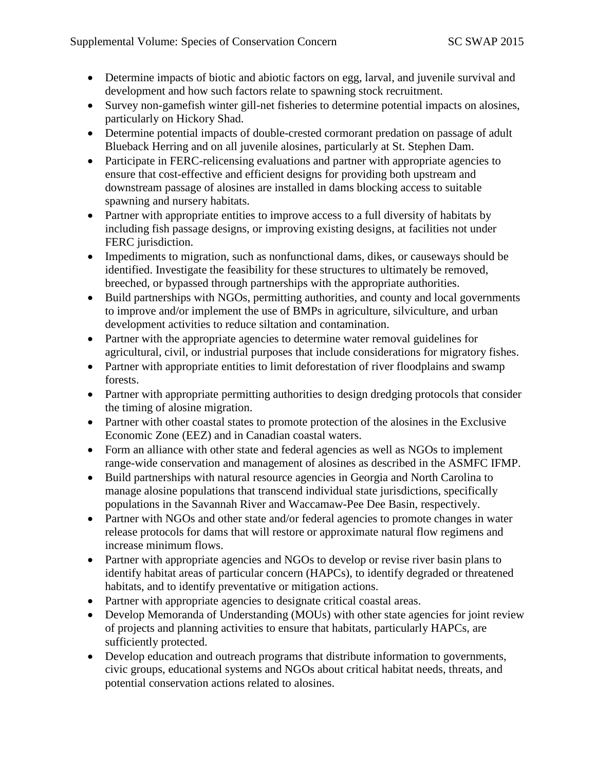- Determine impacts of biotic and abiotic factors on egg, larval, and juvenile survival and development and how such factors relate to spawning stock recruitment.
- Survey non-gamefish winter gill-net fisheries to determine potential impacts on alosines, particularly on Hickory Shad.
- Determine potential impacts of double-crested cormorant predation on passage of adult Blueback Herring and on all juvenile alosines, particularly at St. Stephen Dam.
- Participate in FERC-relicensing evaluations and partner with appropriate agencies to ensure that cost-effective and efficient designs for providing both upstream and downstream passage of alosines are installed in dams blocking access to suitable spawning and nursery habitats.
- Partner with appropriate entities to improve access to a full diversity of habitats by including fish passage designs, or improving existing designs, at facilities not under FERC jurisdiction.
- Impediments to migration, such as nonfunctional dams, dikes, or causeways should be identified. Investigate the feasibility for these structures to ultimately be removed, breeched, or bypassed through partnerships with the appropriate authorities.
- Build partnerships with NGOs, permitting authorities, and county and local governments to improve and/or implement the use of BMPs in agriculture, silviculture, and urban development activities to reduce siltation and contamination.
- Partner with the appropriate agencies to determine water removal guidelines for agricultural, civil, or industrial purposes that include considerations for migratory fishes.
- Partner with appropriate entities to limit deforestation of river floodplains and swamp forests.
- Partner with appropriate permitting authorities to design dredging protocols that consider the timing of alosine migration.
- Partner with other coastal states to promote protection of the alosines in the Exclusive Economic Zone (EEZ) and in Canadian coastal waters.
- Form an alliance with other state and federal agencies as well as NGOs to implement range-wide conservation and management of alosines as described in the ASMFC IFMP.
- Build partnerships with natural resource agencies in Georgia and North Carolina to manage alosine populations that transcend individual state jurisdictions, specifically populations in the Savannah River and Waccamaw-Pee Dee Basin, respectively.
- Partner with NGOs and other state and/or federal agencies to promote changes in water release protocols for dams that will restore or approximate natural flow regimens and increase minimum flows.
- Partner with appropriate agencies and NGOs to develop or revise river basin plans to identify habitat areas of particular concern (HAPCs), to identify degraded or threatened habitats, and to identify preventative or mitigation actions.
- Partner with appropriate agencies to designate critical coastal areas.
- Develop Memoranda of Understanding (MOUs) with other state agencies for joint review of projects and planning activities to ensure that habitats, particularly HAPCs, are sufficiently protected.
- Develop education and outreach programs that distribute information to governments, civic groups, educational systems and NGOs about critical habitat needs, threats, and potential conservation actions related to alosines.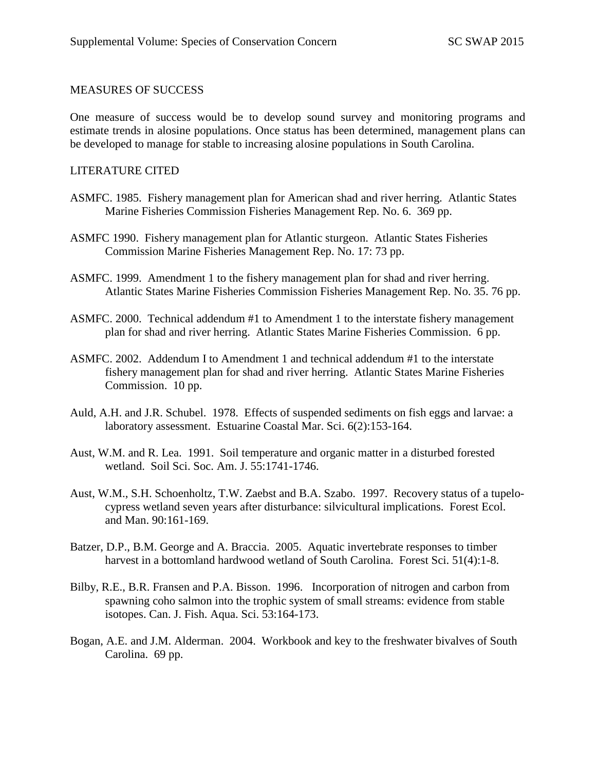#### MEASURES OF SUCCESS

One measure of success would be to develop sound survey and monitoring programs and estimate trends in alosine populations. Once status has been determined, management plans can be developed to manage for stable to increasing alosine populations in South Carolina.

#### LITERATURE CITED

- ASMFC. 1985. Fishery management plan for American shad and river herring. Atlantic States Marine Fisheries Commission Fisheries Management Rep. No. 6. 369 pp.
- ASMFC 1990. Fishery management plan for Atlantic sturgeon. Atlantic States Fisheries Commission Marine Fisheries Management Rep. No. 17: 73 pp.
- ASMFC. 1999. Amendment 1 to the fishery management plan for shad and river herring. Atlantic States Marine Fisheries Commission Fisheries Management Rep. No. 35. 76 pp.
- ASMFC. 2000. Technical addendum #1 to Amendment 1 to the interstate fishery management plan for shad and river herring. Atlantic States Marine Fisheries Commission. 6 pp.
- ASMFC. 2002. Addendum I to Amendment 1 and technical addendum #1 to the interstate fishery management plan for shad and river herring. Atlantic States Marine Fisheries Commission. 10 pp.
- Auld, A.H. and J.R. Schubel. 1978. Effects of suspended sediments on fish eggs and larvae: a laboratory assessment. Estuarine Coastal Mar. Sci. 6(2):153-164.
- Aust, W.M. and R. Lea. 1991. Soil temperature and organic matter in a disturbed forested wetland. Soil Sci. Soc. Am. J. 55:1741-1746.
- Aust, W.M., S.H. Schoenholtz, T.W. Zaebst and B.A. Szabo. 1997. Recovery status of a tupelocypress wetland seven years after disturbance: silvicultural implications. Forest Ecol. and Man. 90:161-169.
- Batzer, D.P., B.M. George and A. Braccia. 2005. Aquatic invertebrate responses to timber harvest in a bottomland hardwood wetland of South Carolina. Forest Sci. 51(4):1-8.
- Bilby, R.E., B.R. Fransen and P.A. Bisson. 1996. Incorporation of nitrogen and carbon from spawning coho salmon into the trophic system of small streams: evidence from stable isotopes. Can. J. Fish. Aqua. Sci. 53:164-173.
- Bogan, A.E. and J.M. Alderman. 2004. Workbook and key to the freshwater bivalves of South Carolina. 69 pp.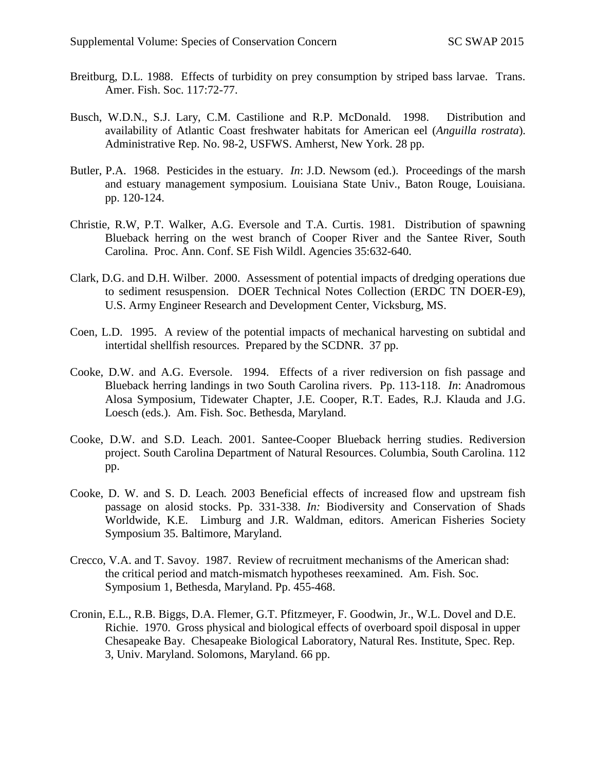- Breitburg, D.L. 1988. Effects of turbidity on prey consumption by striped bass larvae. Trans. Amer. Fish. Soc. 117:72-77.
- Busch, W.D.N., S.J. Lary, C.M. Castilione and R.P. McDonald. 1998. Distribution and availability of Atlantic Coast freshwater habitats for American eel (*Anguilla rostrata*). Administrative Rep. No. 98-2, USFWS. Amherst, New York. 28 pp.
- Butler, P.A. 1968. Pesticides in the estuary. *In*: J.D. Newsom (ed.). Proceedings of the marsh and estuary management symposium. Louisiana State Univ., Baton Rouge, Louisiana. pp. 120-124.
- Christie, R.W, P.T. Walker, A.G. Eversole and T.A. Curtis. 1981. Distribution of spawning Blueback herring on the west branch of Cooper River and the Santee River, South Carolina. Proc. Ann. Conf. SE Fish Wildl. Agencies 35:632-640.
- Clark, D.G. and D.H. Wilber. 2000. Assessment of potential impacts of dredging operations due to sediment resuspension. DOER Technical Notes Collection (ERDC TN DOER-E9), U.S. Army Engineer Research and Development Center, Vicksburg, MS.
- Coen, L.D. 1995. A review of the potential impacts of mechanical harvesting on subtidal and intertidal shellfish resources. Prepared by the SCDNR. 37 pp.
- Cooke, D.W. and A.G. Eversole. 1994. Effects of a river rediversion on fish passage and Blueback herring landings in two South Carolina rivers. Pp. 113-118. *In*: Anadromous Alosa Symposium, Tidewater Chapter, J.E. Cooper, R.T. Eades, R.J. Klauda and J.G. Loesch (eds.). Am. Fish. Soc. Bethesda, Maryland.
- Cooke, D.W. and S.D. Leach. 2001. Santee-Cooper Blueback herring studies. Rediversion project. South Carolina Department of Natural Resources. Columbia, South Carolina. 112 pp.
- Cooke, D. W. and S. D. Leach*.* 2003 Beneficial effects of increased flow and upstream fish passage on alosid stocks. Pp. 331-338. *In:* Biodiversity and Conservation of Shads Worldwide, K.E. Limburg and J.R. Waldman, editors. American Fisheries Society Symposium 35. Baltimore, Maryland.
- Crecco, V.A. and T. Savoy. 1987. Review of recruitment mechanisms of the American shad: the critical period and match-mismatch hypotheses reexamined. Am. Fish. Soc. Symposium 1, Bethesda, Maryland. Pp. 455-468.
- Cronin, E.L., R.B. Biggs, D.A. Flemer, G.T. Pfitzmeyer, F. Goodwin, Jr., W.L. Dovel and D.E. Richie. 1970. Gross physical and biological effects of overboard spoil disposal in upper Chesapeake Bay. Chesapeake Biological Laboratory, Natural Res. Institute, Spec. Rep. 3, Univ. Maryland. Solomons, Maryland. 66 pp.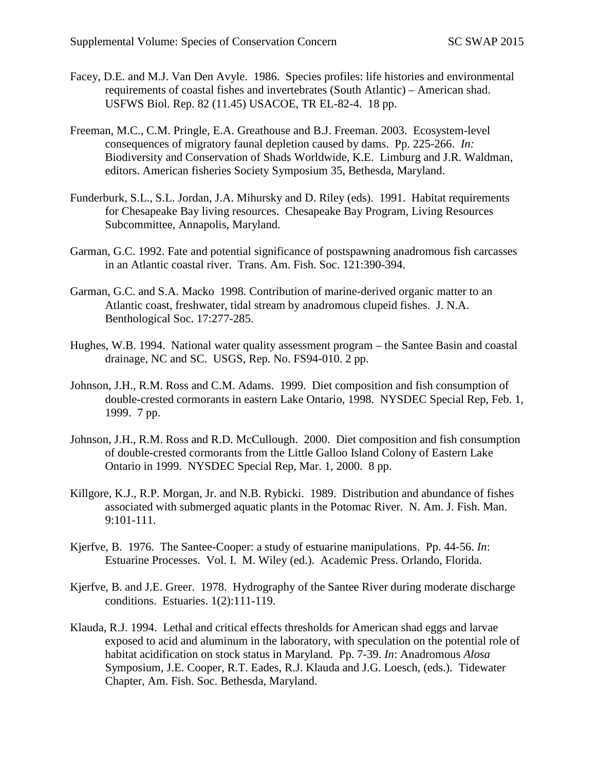- Facey, D.E. and M.J. Van Den Avyle. 1986. Species profiles: life histories and environmental requirements of coastal fishes and invertebrates (South Atlantic) – American shad. USFWS Biol. Rep. 82 (11.45) USACOE, TR EL-82-4. 18 pp.
- Freeman, M.C., C.M. Pringle, E.A. Greathouse and B.J. Freeman. 2003. Ecosystem-level consequences of migratory faunal depletion caused by dams. Pp. 225-266. *In:*  Biodiversity and Conservation of Shads Worldwide, K.E. Limburg and J.R. Waldman, editors. American fisheries Society Symposium 35, Bethesda, Maryland.
- Funderburk, S.L., S.L. Jordan, J.A. Mihursky and D. Riley (eds). 1991. Habitat requirements for Chesapeake Bay living resources. Chesapeake Bay Program, Living Resources Subcommittee, Annapolis, Maryland.
- Garman, G.C. 1992. Fate and potential significance of postspawning anadromous fish carcasses in an Atlantic coastal river. Trans. Am. Fish. Soc. 121:390-394.
- Garman, G.C. and S.A. Macko 1998. Contribution of marine-derived organic matter to an Atlantic coast, freshwater, tidal stream by anadromous clupeid fishes. J. N.A. Benthological Soc. 17:277-285.
- Hughes, W.B. 1994. National water quality assessment program the Santee Basin and coastal drainage, NC and SC. USGS, Rep. No. FS94-010. 2 pp.
- Johnson, J.H., R.M. Ross and C.M. Adams. 1999. Diet composition and fish consumption of double-crested cormorants in eastern Lake Ontario, 1998. NYSDEC Special Rep, Feb. 1, 1999. 7 pp.
- Johnson, J.H., R.M. Ross and R.D. McCullough. 2000. Diet composition and fish consumption of double-crested cormorants from the Little Galloo Island Colony of Eastern Lake Ontario in 1999. NYSDEC Special Rep, Mar. 1, 2000. 8 pp.
- Killgore, K.J., R.P. Morgan, Jr. and N.B. Rybicki. 1989. Distribution and abundance of fishes associated with submerged aquatic plants in the Potomac River. N. Am. J. Fish. Man. 9:101-111.
- Kjerfve, B. 1976. The Santee-Cooper: a study of estuarine manipulations. Pp. 44-56. *In*: Estuarine Processes. Vol. I. M. Wiley (ed.). Academic Press. Orlando, Florida.
- Kjerfve, B. and J.E. Greer. 1978. Hydrography of the Santee River during moderate discharge conditions. Estuaries. 1(2):111-119.
- Klauda, R.J. 1994. Lethal and critical effects thresholds for American shad eggs and larvae exposed to acid and aluminum in the laboratory, with speculation on the potential role of habitat acidification on stock status in Maryland. Pp. 7-39. *In*: Anadromous *Alosa*  Symposium, J.E. Cooper, R.T. Eades, R.J. Klauda and J.G. Loesch, (eds.). Tidewater Chapter, Am. Fish. Soc. Bethesda, Maryland.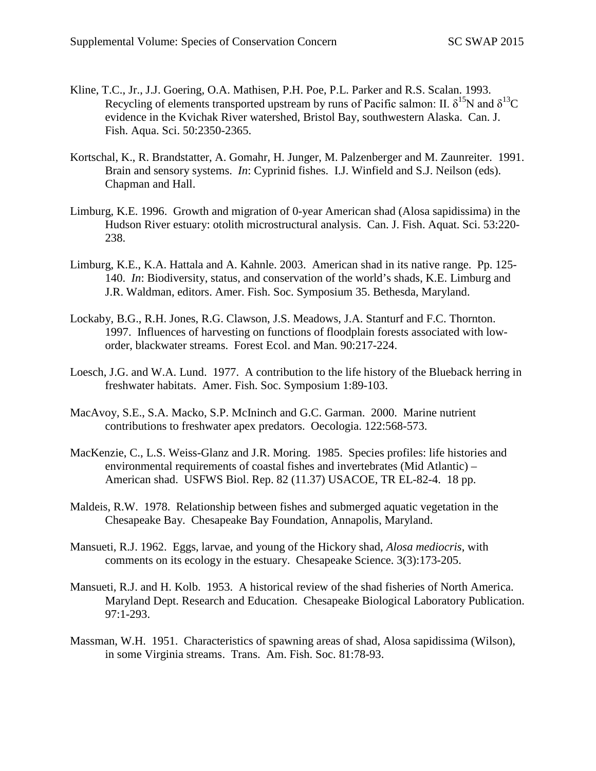- Kline, T.C., Jr., J.J. Goering, O.A. Mathisen, P.H. Poe, P.L. Parker and R.S. Scalan. 1993. Recycling of elements transported upstream by runs of Pacific salmon: II.  $\delta^{15}N$  and  $\delta^{13}C$ evidence in the Kvichak River watershed, Bristol Bay, southwestern Alaska. Can. J. Fish. Aqua. Sci. 50:2350-2365.
- Kortschal, K., R. Brandstatter, A. Gomahr, H. Junger, M. Palzenberger and M. Zaunreiter. 1991. Brain and sensory systems. *In*: Cyprinid fishes. I.J. Winfield and S.J. Neilson (eds). Chapman and Hall.
- Limburg, K.E. 1996. Growth and migration of 0-year American shad (Alosa sapidissima) in the Hudson River estuary: otolith microstructural analysis. Can. J. Fish. Aquat. Sci. 53:220- 238.
- Limburg, K.E., K.A. Hattala and A. Kahnle. 2003. American shad in its native range. Pp. 125- 140. *In*: Biodiversity, status, and conservation of the world's shads, K.E. Limburg and J.R. Waldman, editors. Amer. Fish. Soc. Symposium 35. Bethesda, Maryland.
- Lockaby, B.G., R.H. Jones, R.G. Clawson, J.S. Meadows, J.A. Stanturf and F.C. Thornton. 1997. Influences of harvesting on functions of floodplain forests associated with loworder, blackwater streams. Forest Ecol. and Man. 90:217-224.
- Loesch, J.G. and W.A. Lund. 1977. A contribution to the life history of the Blueback herring in freshwater habitats. Amer. Fish. Soc. Symposium 1:89-103.
- MacAvoy, S.E., S.A. Macko, S.P. McIninch and G.C. Garman. 2000. Marine nutrient contributions to freshwater apex predators. Oecologia. 122:568-573.
- MacKenzie, C., L.S. Weiss-Glanz and J.R. Moring. 1985. Species profiles: life histories and environmental requirements of coastal fishes and invertebrates (Mid Atlantic) – American shad. USFWS Biol. Rep. 82 (11.37) USACOE, TR EL-82-4. 18 pp.
- Maldeis, R.W. 1978. Relationship between fishes and submerged aquatic vegetation in the Chesapeake Bay. Chesapeake Bay Foundation, Annapolis, Maryland.
- Mansueti, R.J. 1962. Eggs, larvae, and young of the Hickory shad, *Alosa mediocris*, with comments on its ecology in the estuary. Chesapeake Science. 3(3):173-205.
- Mansueti, R.J. and H. Kolb. 1953. A historical review of the shad fisheries of North America. Maryland Dept. Research and Education. Chesapeake Biological Laboratory Publication. 97:1-293.
- Massman, W.H. 1951. Characteristics of spawning areas of shad, Alosa sapidissima (Wilson), in some Virginia streams. Trans. Am. Fish. Soc. 81:78-93.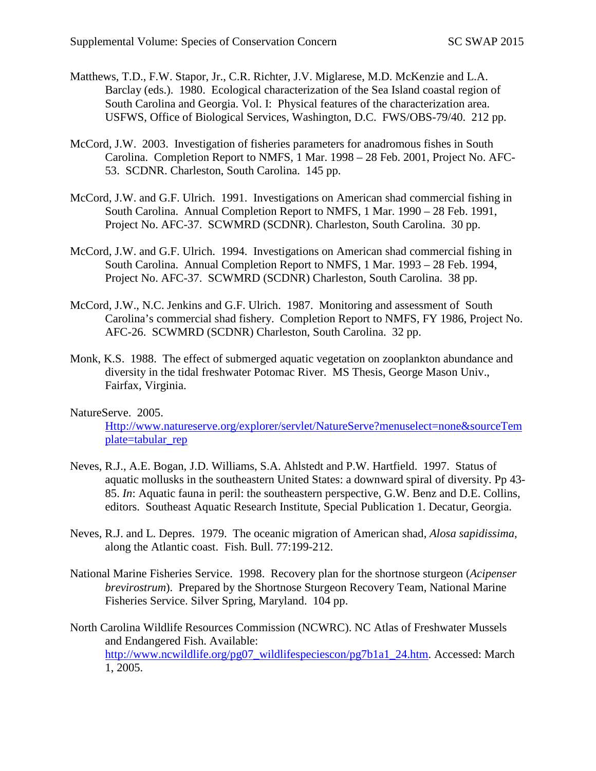- Matthews, T.D., F.W. Stapor, Jr., C.R. Richter, J.V. Miglarese, M.D. McKenzie and L.A. Barclay (eds.). 1980. Ecological characterization of the Sea Island coastal region of South Carolina and Georgia. Vol. I: Physical features of the characterization area. USFWS, Office of Biological Services, Washington, D.C. FWS/OBS-79/40. 212 pp.
- McCord, J.W. 2003. Investigation of fisheries parameters for anadromous fishes in South Carolina. Completion Report to NMFS, 1 Mar. 1998 – 28 Feb. 2001, Project No. AFC-53. SCDNR. Charleston, South Carolina. 145 pp.
- McCord, J.W. and G.F. Ulrich. 1991. Investigations on American shad commercial fishing in South Carolina. Annual Completion Report to NMFS, 1 Mar. 1990 – 28 Feb. 1991, Project No. AFC-37. SCWMRD (SCDNR). Charleston, South Carolina. 30 pp.
- McCord, J.W. and G.F. Ulrich. 1994. Investigations on American shad commercial fishing in South Carolina. Annual Completion Report to NMFS, 1 Mar. 1993 – 28 Feb. 1994, Project No. AFC-37. SCWMRD (SCDNR) Charleston, South Carolina. 38 pp.
- McCord, J.W., N.C. Jenkins and G.F. Ulrich. 1987. Monitoring and assessment of South Carolina's commercial shad fishery. Completion Report to NMFS, FY 1986, Project No. AFC-26. SCWMRD (SCDNR) Charleston, South Carolina. 32 pp.
- Monk, K.S. 1988. The effect of submerged aquatic vegetation on zooplankton abundance and diversity in the tidal freshwater Potomac River. MS Thesis, George Mason Univ., Fairfax, Virginia.

## NatureServe. 2005.

[Http://www.natureserve.org/explorer/servlet/NatureServe?menuselect=none&sourceTem](http://www.natureserve.org/explorer/servlet/NatureServe?menuselect=none&sourceTemplate=tabular_rep) [plate=tabular\\_rep](http://www.natureserve.org/explorer/servlet/NatureServe?menuselect=none&sourceTemplate=tabular_rep)

- Neves, R.J., A.E. Bogan, J.D. Williams, S.A. Ahlstedt and P.W. Hartfield. 1997. Status of aquatic mollusks in the southeastern United States: a downward spiral of diversity. Pp 43- 85. *In*: Aquatic fauna in peril: the southeastern perspective, G.W. Benz and D.E. Collins, editors. Southeast Aquatic Research Institute, Special Publication 1. Decatur, Georgia.
- Neves, R.J. and L. Depres. 1979. The oceanic migration of American shad, *Alosa sapidissima*, along the Atlantic coast. Fish. Bull. 77:199-212.
- National Marine Fisheries Service. 1998. Recovery plan for the shortnose sturgeon (*Acipenser brevirostrum*). Prepared by the Shortnose Sturgeon Recovery Team, National Marine Fisheries Service. Silver Spring, Maryland. 104 pp.
- North Carolina Wildlife Resources Commission (NCWRC). NC Atlas of Freshwater Mussels and Endangered Fish. Available: [http://www.ncwildlife.org/pg07\\_wildlifespeciescon/pg7b1a1\\_24.htm.](http://www.ncwildlife.org/pg07_wildlifespeciescon/pg7b1a1_24.htm) Accessed: March 1, 2005.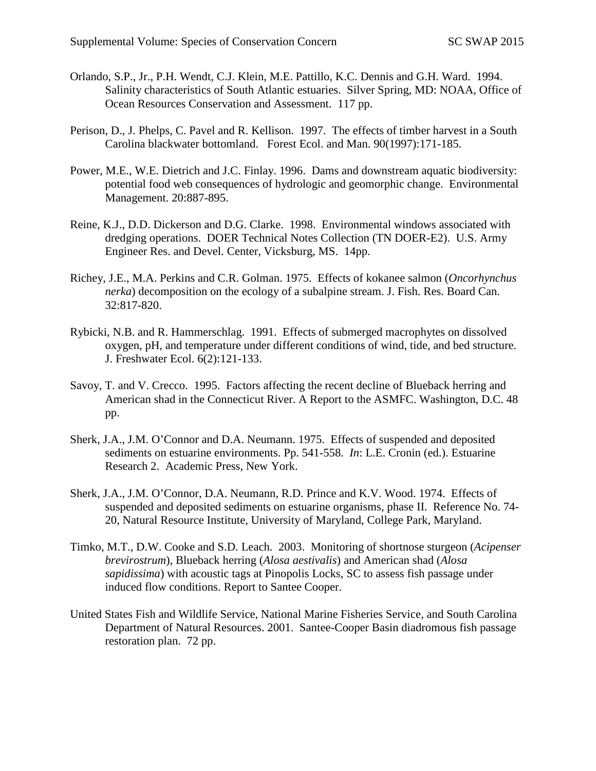- Orlando, S.P., Jr., P.H. Wendt, C.J. Klein, M.E. Pattillo, K.C. Dennis and G.H. Ward. 1994. Salinity characteristics of South Atlantic estuaries. Silver Spring, MD: NOAA, Office of Ocean Resources Conservation and Assessment. 117 pp.
- Perison, D., J. Phelps, C. Pavel and R. Kellison. 1997. The effects of timber harvest in a South Carolina blackwater bottomland. Forest Ecol. and Man. 90(1997):171-185.
- Power, M.E., W.E. Dietrich and J.C. Finlay. 1996. Dams and downstream aquatic biodiversity: potential food web consequences of hydrologic and geomorphic change. Environmental Management. 20:887-895.
- Reine, K.J., D.D. Dickerson and D.G. Clarke. 1998. Environmental windows associated with dredging operations. DOER Technical Notes Collection (TN DOER-E2). U.S. Army Engineer Res. and Devel. Center, Vicksburg, MS. 14pp.
- Richey, J.E., M.A. Perkins and C.R. Golman. 1975. Effects of kokanee salmon (*Oncorhynchus nerka*) decomposition on the ecology of a subalpine stream. J. Fish. Res. Board Can. 32:817-820.
- Rybicki, N.B. and R. Hammerschlag. 1991. Effects of submerged macrophytes on dissolved oxygen, pH, and temperature under different conditions of wind, tide, and bed structure. J. Freshwater Ecol. 6(2):121-133.
- Savoy, T. and V. Crecco. 1995. Factors affecting the recent decline of Blueback herring and American shad in the Connecticut River. A Report to the ASMFC. Washington, D.C. 48 pp.
- Sherk, J.A., J.M. O'Connor and D.A. Neumann. 1975. Effects of suspended and deposited sediments on estuarine environments. Pp. 541-558. *In*: L.E. Cronin (ed.). Estuarine Research 2. Academic Press, New York.
- Sherk, J.A., J.M. O'Connor, D.A. Neumann, R.D. Prince and K.V. Wood. 1974. Effects of suspended and deposited sediments on estuarine organisms, phase II. Reference No. 74- 20, Natural Resource Institute, University of Maryland, College Park, Maryland.
- Timko, M.T., D.W. Cooke and S.D. Leach. 2003. Monitoring of shortnose sturgeon (*Acipenser brevirostrum*), Blueback herring (*Alosa aestivalis*) and American shad (*Alosa sapidissima*) with acoustic tags at Pinopolis Locks, SC to assess fish passage under induced flow conditions. Report to Santee Cooper.
- United States Fish and Wildlife Service, National Marine Fisheries Service, and South Carolina Department of Natural Resources. 2001. Santee-Cooper Basin diadromous fish passage restoration plan. 72 pp.